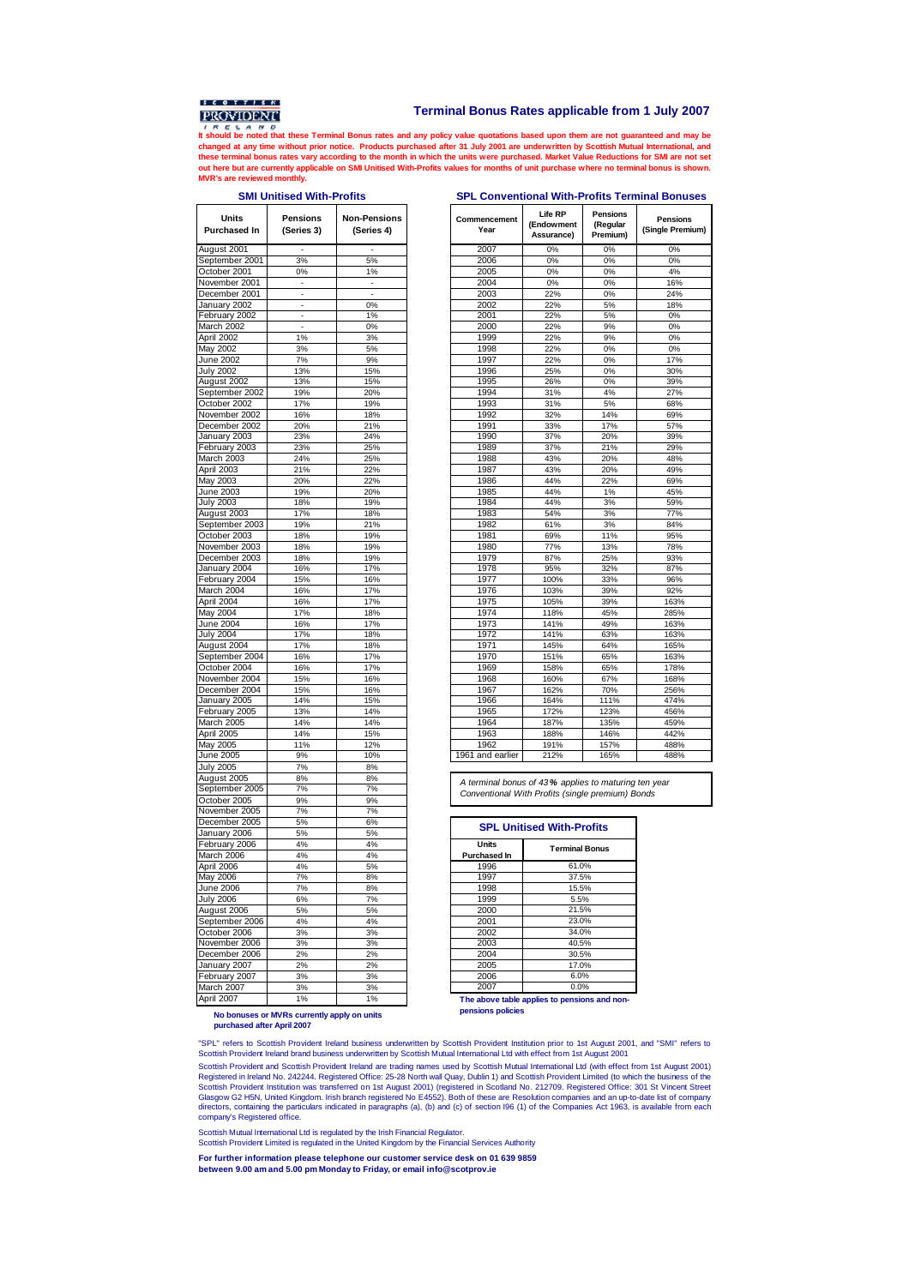

## **Terminal Bonus Rates applicable from 1 July 2007**

**IT SHOWER 1999 AND THE ISLAM BE NOTE THAT IT SHOWS THAT A REPORT OF THE ISLAM BE A RELATED TO A LIMITED AT UNITS AT UNITS AND A RELATED AT A LIMITED AND A RELATED AND A RELATED AT UNITS AND A RELATED AND A RELATED AND A R changed at any time without prior notice. Products purchased after 31 July 2001 are underwritten by Scottish Mutual International, and** these terminal bonus rates vary according to the month in which the units were purchased. Market Value Reductions for SMI are not set<br>out here but are currently applicable on SMI Unitised With-Profits values for months of **MVR's are reviewed monthly.**

## **SMI Unitised With-Profits SPL Conventional With-Profits Terminal Bonuses**

| Units<br><b>Purchased In</b>    | <b>Pensions</b><br>(Series 3) | <b>Non-Pensions</b><br>(Series 4) | Commence<br>Year |
|---------------------------------|-------------------------------|-----------------------------------|------------------|
| August 2001                     |                               |                                   | 2007             |
| September 2001                  | 3%                            | 5%                                | 2006             |
| October 2001                    | 0%                            | 1%                                | 2005             |
| November 2001                   |                               |                                   | 2004             |
| December 2001                   |                               |                                   | 2003             |
| January 2002                    |                               | 0%                                | 2002             |
| February 2002                   |                               | 1%                                | 2001             |
| March 2002                      |                               | 0%                                | 2000             |
| April 2002                      | 1%                            | 3%                                | 1999             |
| <b>May 2002</b>                 | 3%                            | 5%                                | 1998             |
| June 2002                       | 7%                            | 9%                                | 1997<br>1996     |
| <b>July 2002</b><br>August 2002 | 13%<br>13%                    | 15%<br>15%                        | 1995             |
| September 2002                  | 19%                           | 20%                               | 1994             |
| October 2002                    | 17%                           | 19%                               | 1993             |
| November 2002                   | 16%                           | 18%                               | 1992             |
| December 2002                   | 20%                           | 21%                               | 1991             |
| January 2003                    | 23%                           | 24%                               | 1990             |
| February 2003                   | 23%                           | 25%                               | 1989             |
| March 2003                      | 24%                           | 25%                               | 1988             |
| April 2003                      | 21%                           | 22%                               | 1987             |
| May 2003                        | 20%                           | 22%                               | 1986             |
| June 2003                       | 19%                           | 20%                               | 1985             |
| <b>July 2003</b>                | 18%                           | 19%                               | 1984             |
| August 2003                     | 17%                           | 18%                               | 1983             |
| September 2003                  | 19%                           | 21%                               | 1982             |
| October 2003                    | 18%                           | 19%                               | 1981             |
| November 2003                   | 18%                           | 19%                               | 1980             |
| December 2003                   | 18%                           | 19%                               | 1979             |
| January 2004                    | 16%                           | 17%                               | 1978             |
| February 2004                   | 15%                           | 16%                               | 1977             |
| March 2004                      | 16%                           | 17%                               | 1976             |
| April 2004                      | 16%                           | 17%                               | 1975             |
| May 2004                        | 17%                           | 18%                               | 1974             |
| <b>June 2004</b>                | 16%                           | 17%                               | 1973             |
| <b>July 2004</b>                | 17%                           | 18%                               | 1972             |
| August 2004<br>September 2004   | 17%                           | 18%                               | 1971<br>1970     |
| October 2004                    | 16%<br>16%                    | 17%<br>17%                        | 1969             |
| November 2004                   | 15%                           | 16%                               | 1968             |
| December 2004                   | 15%                           | 16%                               | 1967             |
| January 2005                    | 14%                           | 15%                               | 1966             |
| February 2005                   | 13%                           | 14%                               | 1965             |
| March 2005                      | 14%                           | 14%                               | 1964             |
| April 2005                      | 14%                           | 15%                               | 1963             |
| May 2005                        | 11%                           | 12%                               | 1962             |
| June 2005                       | 9%                            | 10%                               | 1961 and e       |
| <b>July 2005</b>                | 7%                            | 8%                                |                  |
| August 2005                     | 8%                            | 8%                                |                  |
| September 2005                  | 7%                            | 7%                                | A termina        |
| October 2005                    | 9%                            | 9%                                | Conventi         |
| November 2005                   | 7%                            | 7%                                |                  |
| December 2005                   | 5%                            | 6%                                | SPI              |
| January 2006                    | 5%                            | 5%                                |                  |
| February 2006                   | 4%                            | 4%                                | Units            |
| March 2006                      | 4%                            | 4%                                | Purchase         |
| April 2006                      | 4%                            | 5%                                | 1996             |
| May 2006                        | 7%                            | 8%                                | 1997             |
| <b>June 2006</b>                | 7%                            | 8%                                | 1998             |
| <b>July 2006</b>                | 6%                            | 7%                                | 1999             |
| August 2006                     | 5%                            | 5%                                | 2000             |
| September 2006                  | 4%                            | 4%                                | 2001             |
| October 2006                    | 3%                            | 3%                                | 2002             |
| November 2006                   | 3%                            | 3%                                | 2003             |
| December 2006                   | 2%<br>2%                      | 2%<br>2%                          | 2004<br>2005     |
| January 2007<br>February 2007   | 3%                            | 3%                                | 2006             |
| March 2007                      | 3%                            | 3%                                | 2007             |
| April 2007                      | 1%                            | 1%                                | The abov         |
|                                 |                               |                                   |                  |

| Units<br><b>Pensions</b><br><b>Non-Pensions</b><br>Commencement<br>Year<br><b>Purchased In</b><br>(Series 3)<br>(Series 4) |     |        |
|----------------------------------------------------------------------------------------------------------------------------|-----|--------|
| August 2001                                                                                                                |     |        |
| September 2001                                                                                                             | 3%  | 5%     |
| October 2001                                                                                                               | 0%  | 1%     |
| November 2001                                                                                                              | ä,  | $\sim$ |
| December 2001                                                                                                              | ٠   | ٠      |
| January 2002                                                                                                               | ٠   | 0%     |
| February 2002                                                                                                              | ٠   | 1%     |
| March 2002                                                                                                                 | ÷,  | 0%     |
| April 2002                                                                                                                 | 1%  | 3%     |
| May 2002                                                                                                                   | 3%  | 5%     |
| June 2002                                                                                                                  | 7%  | 9%     |
| <b>July 2002</b>                                                                                                           | 13% | 15%    |
| August 2002                                                                                                                | 13% | 15%    |
| September 2002                                                                                                             | 19% | 20%    |
| October 2002                                                                                                               | 17% | 19%    |
| November 2002                                                                                                              | 16% | 18%    |
| December 2002                                                                                                              | 20% | 21%    |
| January 2003                                                                                                               | 23% | 24%    |
| February 2003                                                                                                              | 23% | 25%    |
| March 2003                                                                                                                 | 24% | 25%    |
| April 2003                                                                                                                 | 21% | 22%    |
| May 2003                                                                                                                   | 20% | 22%    |
| June 2003                                                                                                                  | 19% | 20%    |
| <b>July 2003</b>                                                                                                           | 18% | 19%    |
| August 2003                                                                                                                | 17% | 18%    |
| September 2003                                                                                                             | 19% | 21%    |
| October 2003                                                                                                               | 18% | 19%    |
| November 2003                                                                                                              | 18% | 19%    |
| December 2003                                                                                                              | 18% | 19%    |
| January 2004                                                                                                               | 16% | 17%    |
| February 2004                                                                                                              | 15% | 16%    |
| March 2004                                                                                                                 | 16% | 17%    |
| April 2004                                                                                                                 | 16% | 17%    |
| May 2004                                                                                                                   | 17% | 18%    |
| June 2004                                                                                                                  | 16% | 17%    |
| <b>July 2004</b>                                                                                                           | 17% | 18%    |
| August 2004                                                                                                                | 17% | 18%    |
| September 2004                                                                                                             | 16% | 17%    |
| October 2004                                                                                                               | 16% | 17%    |
|                                                                                                                            |     |        |
| November 2004                                                                                                              | 15% | 16%    |
| December 2004                                                                                                              | 15% | 16%    |
| January 2005                                                                                                               | 14% | 15%    |
| February 2005                                                                                                              | 13% | 14%    |
| March 2005                                                                                                                 | 14% | 14%    |
| April 2005                                                                                                                 | 14% | 15%    |
| May 2005                                                                                                                   | 11% | 12%    |
| June 2005                                                                                                                  | 9%  | 10%    |
| <b>July 2005</b>                                                                                                           | 7%  | 8%     |

A terminal bonus of 43 **%** applies to maturing ten year Conventional With Profits (single premium) Bonds

| <b>SPL Unitised With-Profits</b>    |                       |  |  |  |
|-------------------------------------|-----------------------|--|--|--|
| <b>Units</b><br><b>Purchased In</b> | <b>Terminal Bonus</b> |  |  |  |
| 1996                                | 61.0%                 |  |  |  |
| 1997                                | 37.5%                 |  |  |  |
| 1998                                | 15.5%                 |  |  |  |
| 1999                                | 5.5%                  |  |  |  |
| 2000                                | 21.5%                 |  |  |  |
| 2001                                | 23.0%                 |  |  |  |
| 2002                                | 34.0%                 |  |  |  |
| 2003                                | 40.5%                 |  |  |  |
| 2004                                | 30.5%                 |  |  |  |
| 2005                                | 17.0%                 |  |  |  |
| 2006                                | 6.0%                  |  |  |  |
| 2007                                | 0.0%                  |  |  |  |

**The above table applies to pensions and nonpensions policies**

**No bonuses or MVRs currently apply on units purchased after April 2007**

"SPL" refers to Scottish Provident Ireland business underwritten by Scottish Provident Institution prior to 1st August 2001, and "SMI" refers to Scottish Provident Ireland brand business underwritten by Scottish Mutual International Ltd with effect from 1st August 2001

Scottish Provident and Scottish Provident Ireland are trading names used by Scottish Mutual International Ltd (with effect from 1st August 2001)<br>Registered in Ireland No. 242244. Registered Office: 25-28 North wall Quay, D directors, containing the particulars indicated in paragraphs (a), (b) and (c) of section I96 (1) of the Companies Act 1963, is available from each company's Registered office.

Scottish Mutual International Ltd is regulated by the Irish Financial Regulator.

Scottish Provident Limited is regulated in the United Kingdom by the Financial Services Authority

**For further information please telephone our customer service desk on 01 639 9859 between 9.00 am and 5.00 pm Monday to Friday, or email info@scotprov.ie**